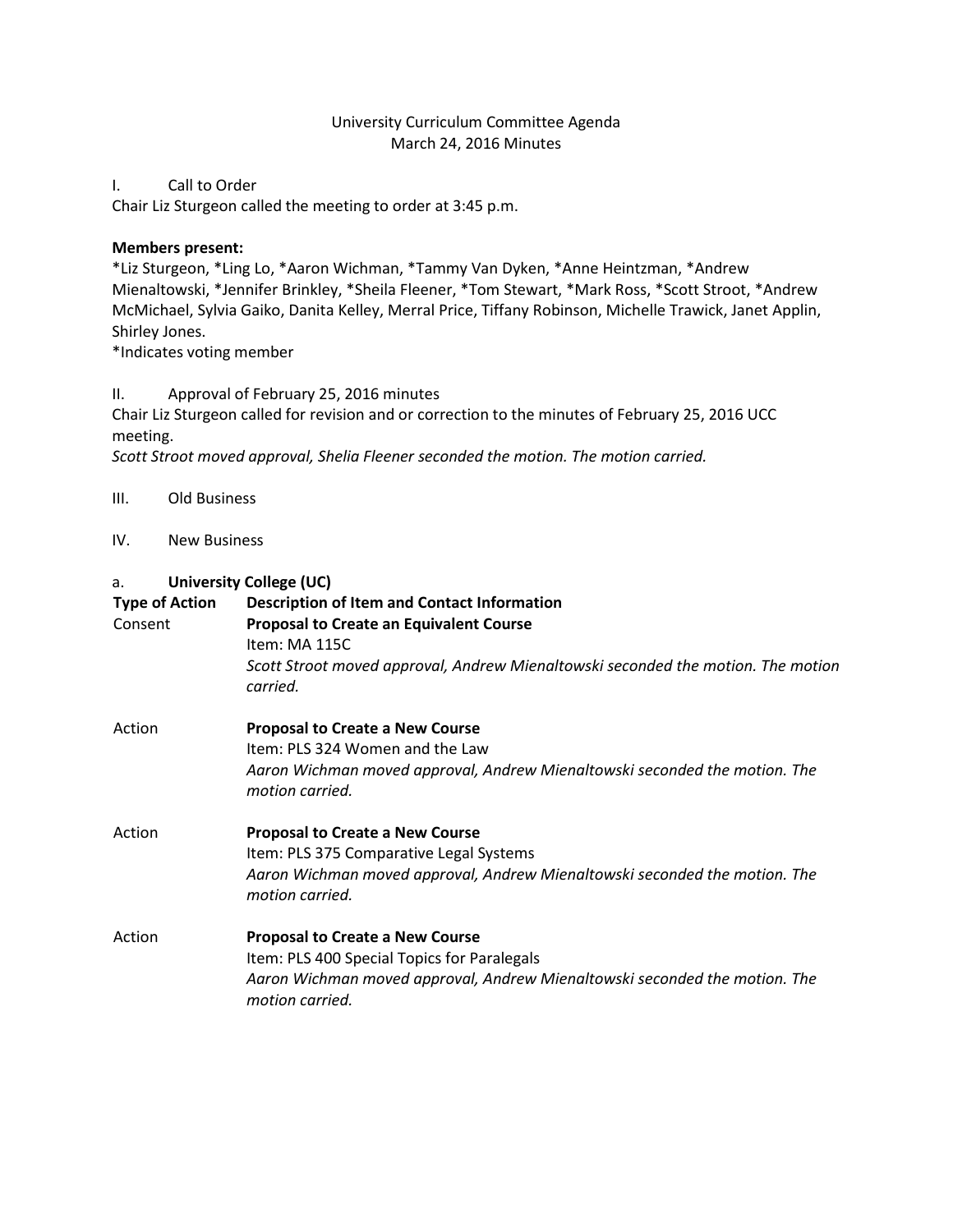#### University Curriculum Committee Agenda March 24, 2016 Minutes

#### I. Call to Order

Chair Liz Sturgeon called the meeting to order at 3:45 p.m.

#### **Members present:**

\*Liz Sturgeon, \*Ling Lo, \*Aaron Wichman, \*Tammy Van Dyken, \*Anne Heintzman, \*Andrew Mienaltowski, \*Jennifer Brinkley, \*Sheila Fleener, \*Tom Stewart, \*Mark Ross, \*Scott Stroot, \*Andrew McMichael, Sylvia Gaiko, Danita Kelley, Merral Price, Tiffany Robinson, Michelle Trawick, Janet Applin, Shirley Jones.

\*Indicates voting member

#### II. Approval of February 25, 2016 minutes

Chair Liz Sturgeon called for revision and or correction to the minutes of February 25, 2016 UCC meeting.

*Scott Stroot moved approval, Shelia Fleener seconded the motion. The motion carried.*

#### III. Old Business

IV. New Business

## a. **University College (UC)**

| <b>Type of Action</b><br>Consent | <b>Description of Item and Contact Information</b><br><b>Proposal to Create an Equivalent Course</b><br>Item: MA 115C<br>Scott Stroot moved approval, Andrew Mienaltowski seconded the motion. The motion<br>carried. |
|----------------------------------|-----------------------------------------------------------------------------------------------------------------------------------------------------------------------------------------------------------------------|
| Action                           | <b>Proposal to Create a New Course</b><br>Item: PLS 324 Women and the Law<br>Aaron Wichman moved approval, Andrew Mienaltowski seconded the motion. The<br>motion carried.                                            |
| Action                           | <b>Proposal to Create a New Course</b><br>Item: PLS 375 Comparative Legal Systems<br>Aaron Wichman moved approval, Andrew Mienaltowski seconded the motion. The<br>motion carried.                                    |
| Action                           | <b>Proposal to Create a New Course</b><br>Item: PLS 400 Special Topics for Paralegals<br>Aaron Wichman moved approval, Andrew Mienaltowski seconded the motion. The<br>motion carried.                                |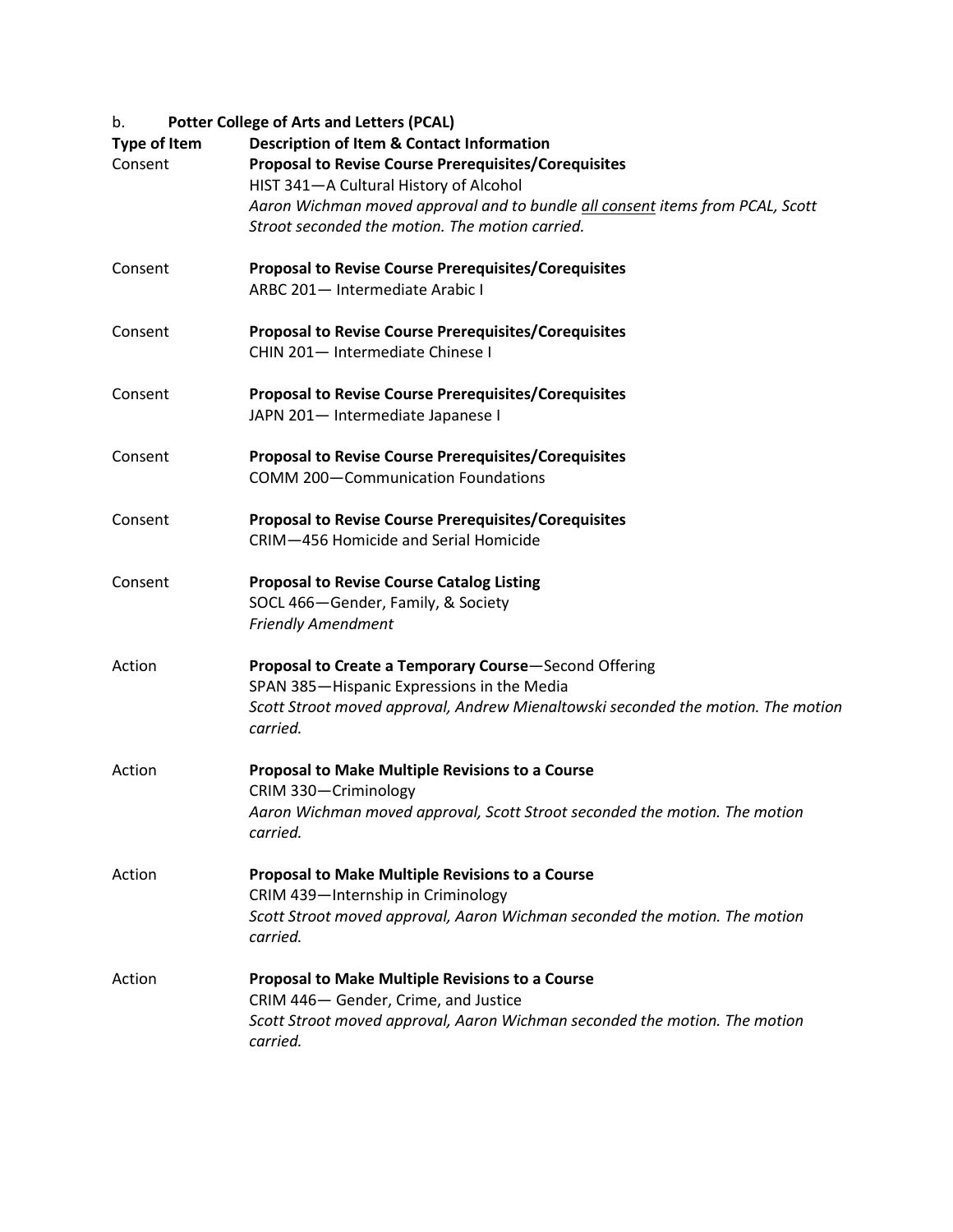# b. **Potter College of Arts and Letters (PCAL)**

| <b>Type of Item</b><br>Consent | <b>Description of Item &amp; Contact Information</b><br><b>Proposal to Revise Course Prerequisites/Corequisites</b><br>HIST 341-A Cultural History of Alcohol<br>Aaron Wichman moved approval and to bundle all consent items from PCAL, Scott<br>Stroot seconded the motion. The motion carried. |
|--------------------------------|---------------------------------------------------------------------------------------------------------------------------------------------------------------------------------------------------------------------------------------------------------------------------------------------------|
| Consent                        | <b>Proposal to Revise Course Prerequisites/Corequisites</b><br>ARBC 201- Intermediate Arabic I                                                                                                                                                                                                    |
| Consent                        | <b>Proposal to Revise Course Prerequisites/Corequisites</b><br>CHIN 201- Intermediate Chinese I                                                                                                                                                                                                   |
| Consent                        | <b>Proposal to Revise Course Prerequisites/Corequisites</b><br>JAPN 201- Intermediate Japanese I                                                                                                                                                                                                  |
| Consent                        | <b>Proposal to Revise Course Prerequisites/Corequisites</b><br><b>COMM 200-Communication Foundations</b>                                                                                                                                                                                          |
| Consent                        | <b>Proposal to Revise Course Prerequisites/Corequisites</b><br>CRIM-456 Homicide and Serial Homicide                                                                                                                                                                                              |
| Consent                        | <b>Proposal to Revise Course Catalog Listing</b><br>SOCL 466-Gender, Family, & Society<br><b>Friendly Amendment</b>                                                                                                                                                                               |
| Action                         | Proposal to Create a Temporary Course-Second Offering<br>SPAN 385-Hispanic Expressions in the Media<br>Scott Stroot moved approval, Andrew Mienaltowski seconded the motion. The motion<br>carried.                                                                                               |
| Action                         | <b>Proposal to Make Multiple Revisions to a Course</b><br>CRIM 330-Criminology<br>Aaron Wichman moved approval, Scott Stroot seconded the motion. The motion<br>carried.                                                                                                                          |
| Action                         | <b>Proposal to Make Multiple Revisions to a Course</b><br>CRIM 439-Internship in Criminology<br>Scott Stroot moved approval, Aaron Wichman seconded the motion. The motion<br>carried.                                                                                                            |
| Action                         | Proposal to Make Multiple Revisions to a Course<br>CRIM 446- Gender, Crime, and Justice<br>Scott Stroot moved approval, Aaron Wichman seconded the motion. The motion<br>carried.                                                                                                                 |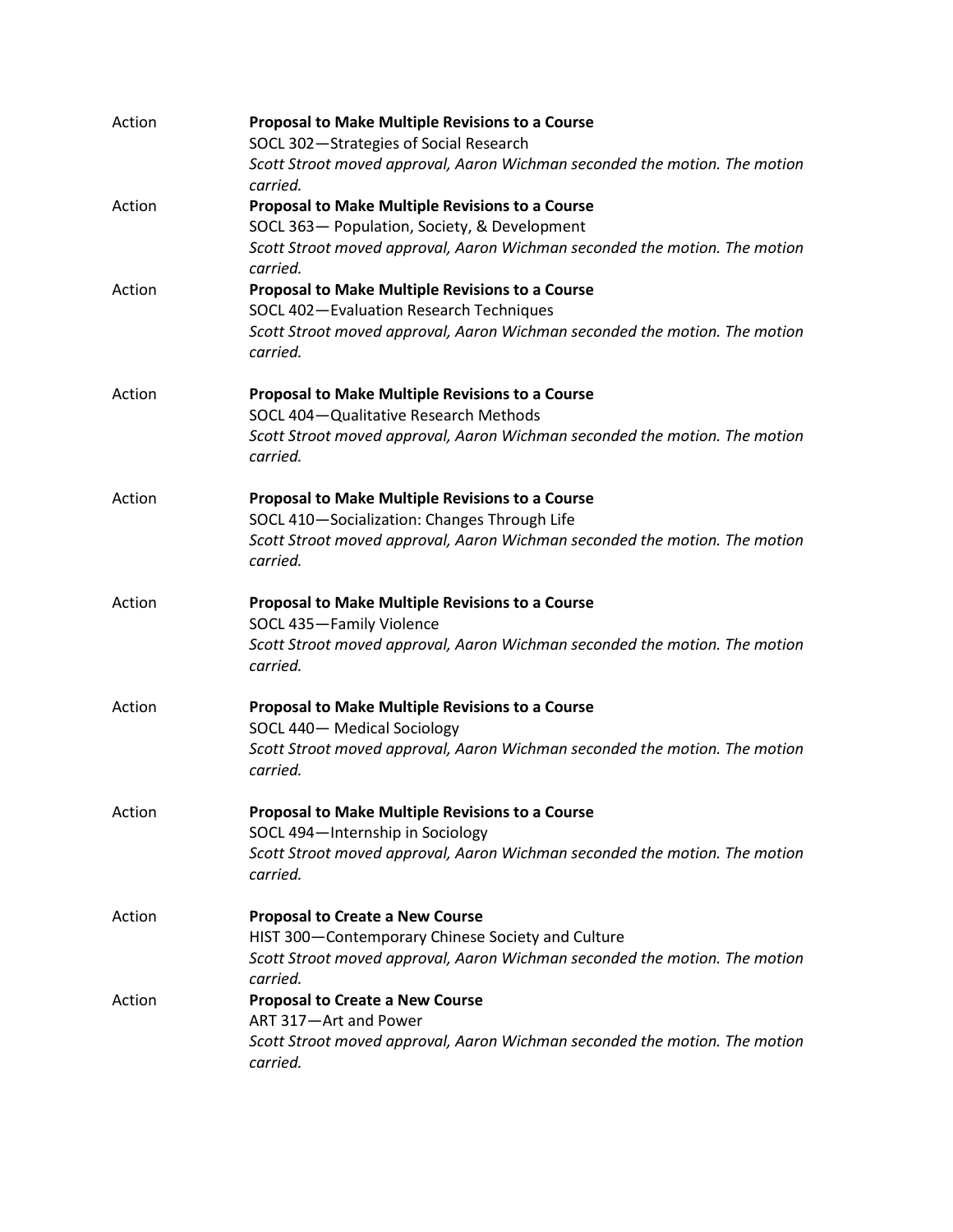| Action | <b>Proposal to Make Multiple Revisions to a Course</b><br>SOCL 302-Strategies of Social Research<br>Scott Stroot moved approval, Aaron Wichman seconded the motion. The motion |
|--------|--------------------------------------------------------------------------------------------------------------------------------------------------------------------------------|
|        | carried.                                                                                                                                                                       |
| Action | <b>Proposal to Make Multiple Revisions to a Course</b>                                                                                                                         |
|        | SOCL 363- Population, Society, & Development                                                                                                                                   |
|        | Scott Stroot moved approval, Aaron Wichman seconded the motion. The motion<br>carried.                                                                                         |
| Action | Proposal to Make Multiple Revisions to a Course                                                                                                                                |
|        | SOCL 402-Evaluation Research Techniques                                                                                                                                        |
|        | Scott Stroot moved approval, Aaron Wichman seconded the motion. The motion<br>carried.                                                                                         |
| Action | Proposal to Make Multiple Revisions to a Course                                                                                                                                |
|        | SOCL 404-Qualitative Research Methods                                                                                                                                          |
|        | Scott Stroot moved approval, Aaron Wichman seconded the motion. The motion<br>carried.                                                                                         |
| Action | <b>Proposal to Make Multiple Revisions to a Course</b>                                                                                                                         |
|        | SOCL 410-Socialization: Changes Through Life                                                                                                                                   |
|        | Scott Stroot moved approval, Aaron Wichman seconded the motion. The motion<br>carried.                                                                                         |
| Action | <b>Proposal to Make Multiple Revisions to a Course</b>                                                                                                                         |
|        | SOCL 435-Family Violence                                                                                                                                                       |
|        | Scott Stroot moved approval, Aaron Wichman seconded the motion. The motion<br>carried.                                                                                         |
| Action | Proposal to Make Multiple Revisions to a Course                                                                                                                                |
|        | SOCL 440- Medical Sociology                                                                                                                                                    |
|        | Scott Stroot moved approval, Aaron Wichman seconded the motion. The motion<br>carried.                                                                                         |
| Action | Proposal to Make Multiple Revisions to a Course                                                                                                                                |
|        | SOCL 494-Internship in Sociology                                                                                                                                               |
|        | Scott Stroot moved approval, Aaron Wichman seconded the motion. The motion<br>carried.                                                                                         |
| Action | <b>Proposal to Create a New Course</b>                                                                                                                                         |
|        | HIST 300-Contemporary Chinese Society and Culture                                                                                                                              |
|        | Scott Stroot moved approval, Aaron Wichman seconded the motion. The motion                                                                                                     |
| Action | carried.                                                                                                                                                                       |
|        | <b>Proposal to Create a New Course</b><br>ART 317-Art and Power                                                                                                                |
|        | Scott Stroot moved approval, Aaron Wichman seconded the motion. The motion                                                                                                     |
|        | carried.                                                                                                                                                                       |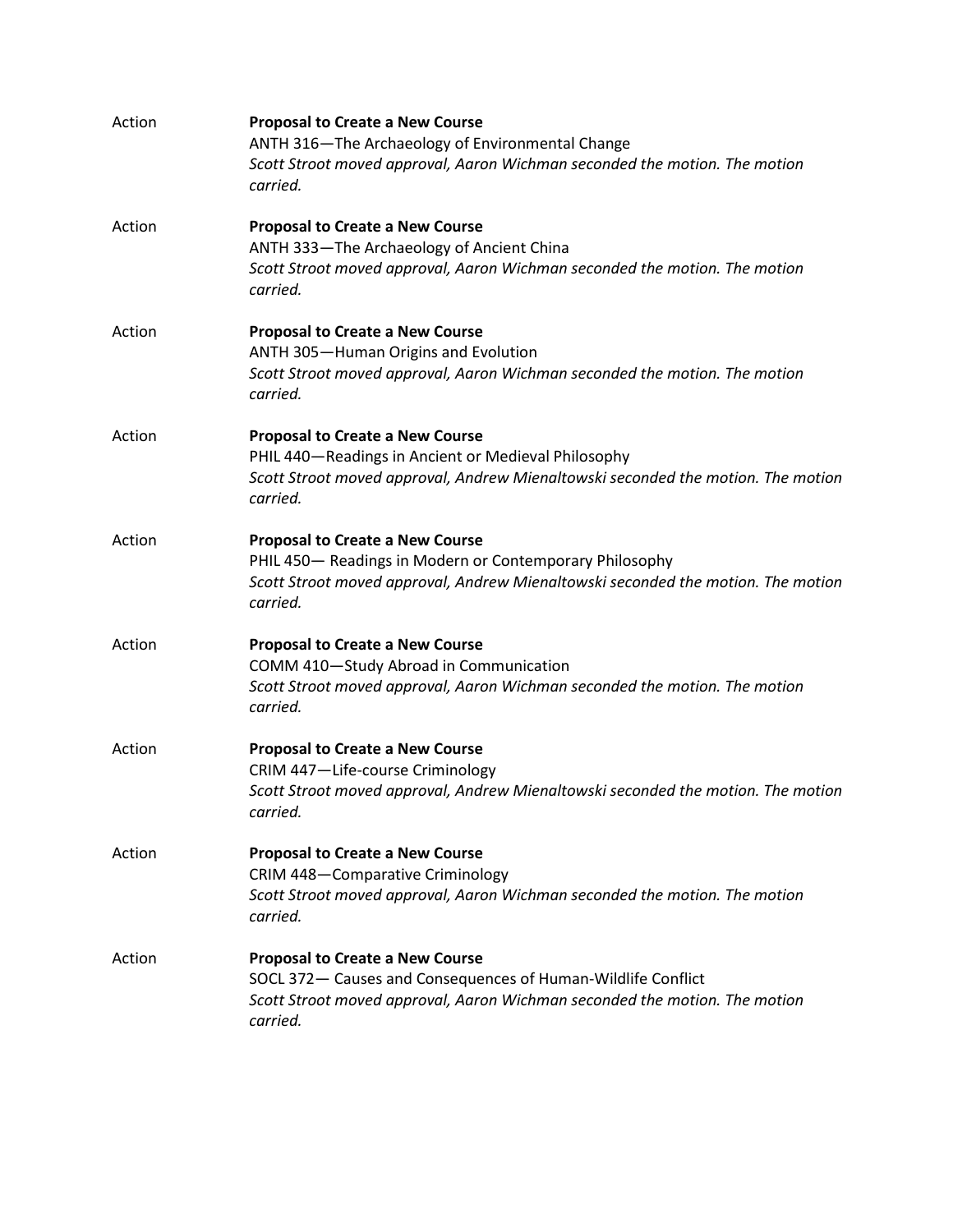| Action | <b>Proposal to Create a New Course</b><br>ANTH 316-The Archaeology of Environmental Change<br>Scott Stroot moved approval, Aaron Wichman seconded the motion. The motion<br>carried.              |
|--------|---------------------------------------------------------------------------------------------------------------------------------------------------------------------------------------------------|
| Action | <b>Proposal to Create a New Course</b><br>ANTH 333-The Archaeology of Ancient China<br>Scott Stroot moved approval, Aaron Wichman seconded the motion. The motion<br>carried.                     |
| Action | <b>Proposal to Create a New Course</b><br>ANTH 305-Human Origins and Evolution<br>Scott Stroot moved approval, Aaron Wichman seconded the motion. The motion<br>carried.                          |
| Action | <b>Proposal to Create a New Course</b><br>PHIL 440-Readings in Ancient or Medieval Philosophy<br>Scott Stroot moved approval, Andrew Mienaltowski seconded the motion. The motion<br>carried.     |
| Action | <b>Proposal to Create a New Course</b><br>PHIL 450- Readings in Modern or Contemporary Philosophy<br>Scott Stroot moved approval, Andrew Mienaltowski seconded the motion. The motion<br>carried. |
| Action | <b>Proposal to Create a New Course</b><br>COMM 410-Study Abroad in Communication<br>Scott Stroot moved approval, Aaron Wichman seconded the motion. The motion<br>carried.                        |
| Action | <b>Proposal to Create a New Course</b><br>CRIM 447-Life-course Criminology<br>Scott Stroot moved approval, Andrew Mienaltowski seconded the motion. The motion<br>carried.                        |
| Action | <b>Proposal to Create a New Course</b><br>CRIM 448-Comparative Criminology<br>Scott Stroot moved approval, Aaron Wichman seconded the motion. The motion<br>carried.                              |
| Action | <b>Proposal to Create a New Course</b><br>SOCL 372- Causes and Consequences of Human-Wildlife Conflict<br>Scott Stroot moved approval, Aaron Wichman seconded the motion. The motion<br>carried.  |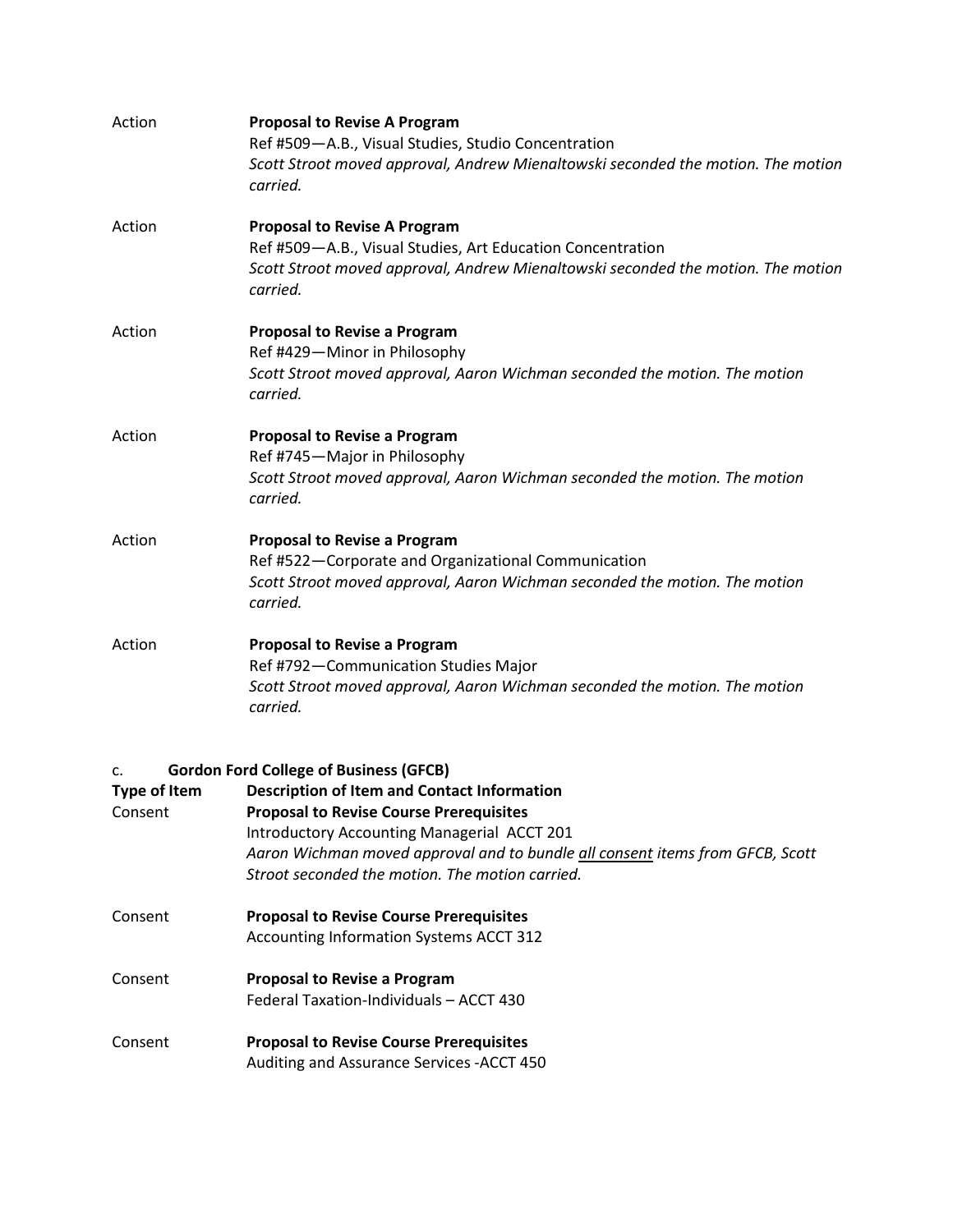| Action                               | <b>Proposal to Revise A Program</b><br>Ref #509-A.B., Visual Studies, Studio Concentration<br>Scott Stroot moved approval, Andrew Mienaltowski seconded the motion. The motion<br>carried.                                                                                                                                               |
|--------------------------------------|------------------------------------------------------------------------------------------------------------------------------------------------------------------------------------------------------------------------------------------------------------------------------------------------------------------------------------------|
| Action                               | <b>Proposal to Revise A Program</b><br>Ref #509-A.B., Visual Studies, Art Education Concentration<br>Scott Stroot moved approval, Andrew Mienaltowski seconded the motion. The motion<br>carried.                                                                                                                                        |
| Action                               | <b>Proposal to Revise a Program</b><br>Ref #429-Minor in Philosophy<br>Scott Stroot moved approval, Aaron Wichman seconded the motion. The motion<br>carried.                                                                                                                                                                            |
| Action                               | <b>Proposal to Revise a Program</b><br>Ref #745-Major in Philosophy<br>Scott Stroot moved approval, Aaron Wichman seconded the motion. The motion<br>carried.                                                                                                                                                                            |
| Action                               | <b>Proposal to Revise a Program</b><br>Ref #522-Corporate and Organizational Communication<br>Scott Stroot moved approval, Aaron Wichman seconded the motion. The motion<br>carried.                                                                                                                                                     |
| Action                               | <b>Proposal to Revise a Program</b><br>Ref #792-Communication Studies Major<br>Scott Stroot moved approval, Aaron Wichman seconded the motion. The motion<br>carried.                                                                                                                                                                    |
| c.<br><b>Type of Item</b><br>Consent | <b>Gordon Ford College of Business (GFCB)</b><br><b>Description of Item and Contact Information</b><br><b>Proposal to Revise Course Prerequisites</b><br>Introductory Accounting Managerial ACCT 201<br>Aaron Wichman moved approval and to bundle all consent items from GFCB, Scott<br>Stroot seconded the motion. The motion carried. |
| Consent                              | <b>Proposal to Revise Course Prerequisites</b><br>Accounting Information Systems ACCT 312                                                                                                                                                                                                                                                |

- Consent **Proposal to Revise a Program**  Federal Taxation-Individuals – ACCT 430
- Consent **Proposal to Revise Course Prerequisites**  Auditing and Assurance Services -ACCT 450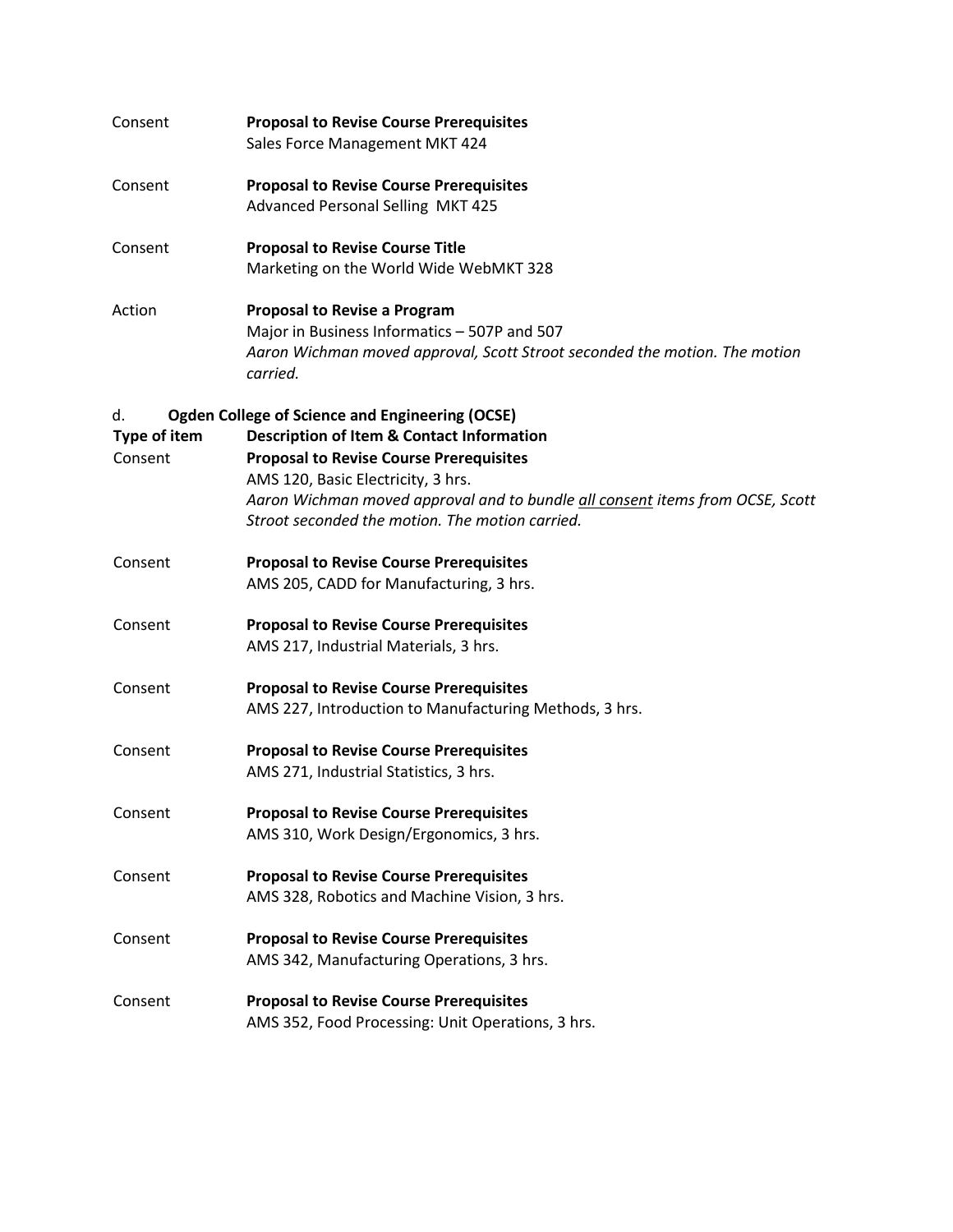| Consent            | <b>Proposal to Revise Course Prerequisites</b><br>Sales Force Management MKT 424                                                                                                                                         |
|--------------------|--------------------------------------------------------------------------------------------------------------------------------------------------------------------------------------------------------------------------|
| Consent            | <b>Proposal to Revise Course Prerequisites</b><br><b>Advanced Personal Selling MKT 425</b>                                                                                                                               |
| Consent            | <b>Proposal to Revise Course Title</b><br>Marketing on the World Wide WebMKT 328                                                                                                                                         |
| Action             | <b>Proposal to Revise a Program</b><br>Major in Business Informatics - 507P and 507<br>Aaron Wichman moved approval, Scott Stroot seconded the motion. The motion<br>carried.                                            |
| d.<br>Type of item | <b>Ogden College of Science and Engineering (OCSE)</b><br><b>Description of Item &amp; Contact Information</b>                                                                                                           |
| Consent            | <b>Proposal to Revise Course Prerequisites</b><br>AMS 120, Basic Electricity, 3 hrs.<br>Aaron Wichman moved approval and to bundle all consent items from OCSE, Scott<br>Stroot seconded the motion. The motion carried. |
| Consent            | <b>Proposal to Revise Course Prerequisites</b><br>AMS 205, CADD for Manufacturing, 3 hrs.                                                                                                                                |
| Consent            | <b>Proposal to Revise Course Prerequisites</b><br>AMS 217, Industrial Materials, 3 hrs.                                                                                                                                  |
| Consent            | <b>Proposal to Revise Course Prerequisites</b><br>AMS 227, Introduction to Manufacturing Methods, 3 hrs.                                                                                                                 |
| Consent            | <b>Proposal to Revise Course Prerequisites</b><br>AMS 271, Industrial Statistics, 3 hrs.                                                                                                                                 |
| Consent            | <b>Proposal to Revise Course Prerequisites</b><br>AMS 310, Work Design/Ergonomics, 3 hrs.                                                                                                                                |
| Consent            | <b>Proposal to Revise Course Prerequisites</b><br>AMS 328, Robotics and Machine Vision, 3 hrs.                                                                                                                           |
| Consent            | <b>Proposal to Revise Course Prerequisites</b><br>AMS 342, Manufacturing Operations, 3 hrs.                                                                                                                              |
| Consent            | <b>Proposal to Revise Course Prerequisites</b><br>AMS 352, Food Processing: Unit Operations, 3 hrs.                                                                                                                      |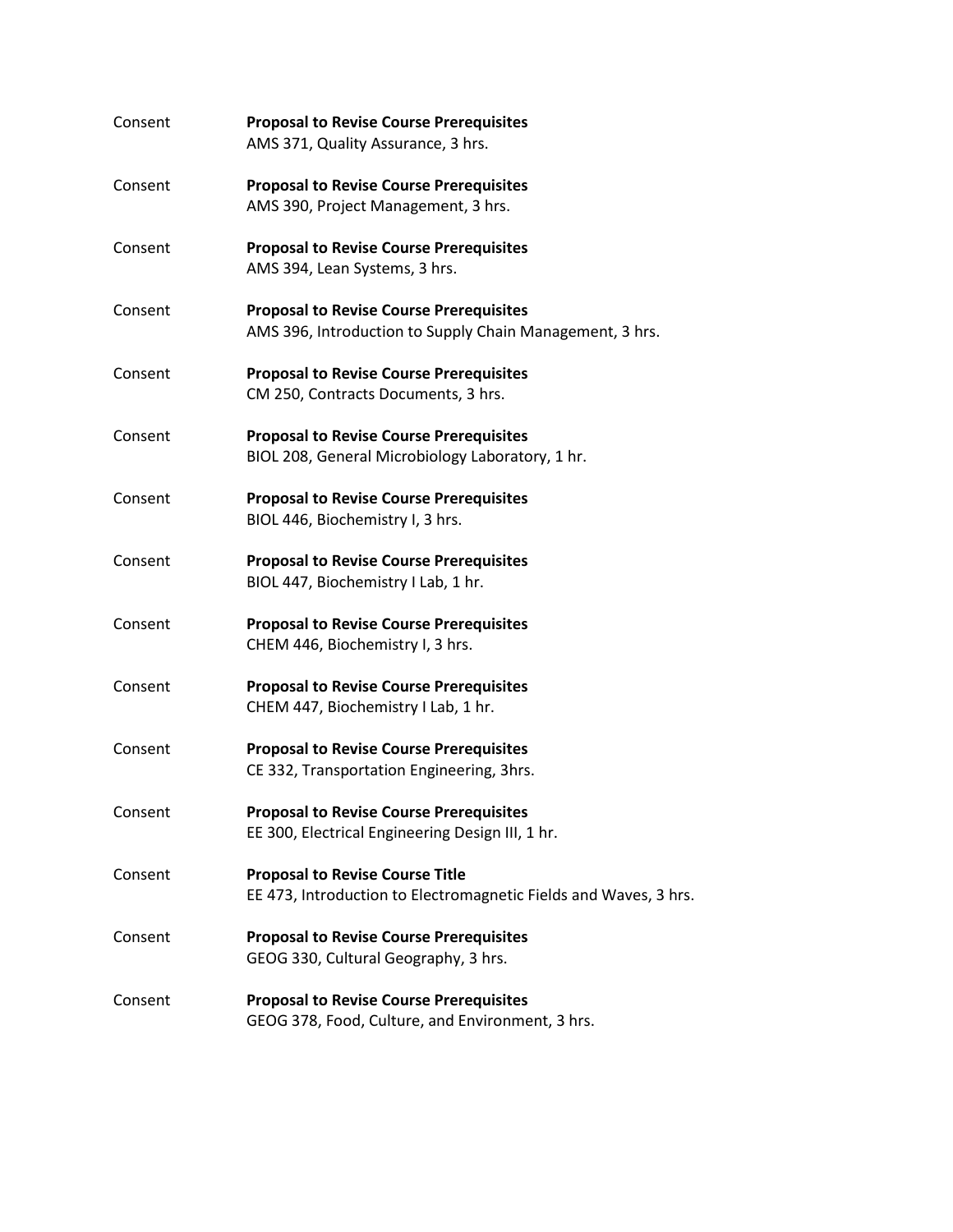| Consent | <b>Proposal to Revise Course Prerequisites</b><br>AMS 371, Quality Assurance, 3 hrs.                       |
|---------|------------------------------------------------------------------------------------------------------------|
| Consent | <b>Proposal to Revise Course Prerequisites</b><br>AMS 390, Project Management, 3 hrs.                      |
| Consent | <b>Proposal to Revise Course Prerequisites</b><br>AMS 394, Lean Systems, 3 hrs.                            |
| Consent | <b>Proposal to Revise Course Prerequisites</b><br>AMS 396, Introduction to Supply Chain Management, 3 hrs. |
| Consent | <b>Proposal to Revise Course Prerequisites</b><br>CM 250, Contracts Documents, 3 hrs.                      |
| Consent | <b>Proposal to Revise Course Prerequisites</b><br>BIOL 208, General Microbiology Laboratory, 1 hr.         |
| Consent | <b>Proposal to Revise Course Prerequisites</b><br>BIOL 446, Biochemistry I, 3 hrs.                         |
| Consent | <b>Proposal to Revise Course Prerequisites</b><br>BIOL 447, Biochemistry I Lab, 1 hr.                      |
| Consent | <b>Proposal to Revise Course Prerequisites</b><br>CHEM 446, Biochemistry I, 3 hrs.                         |
| Consent | <b>Proposal to Revise Course Prerequisites</b><br>CHEM 447, Biochemistry I Lab, 1 hr.                      |
| Consent | <b>Proposal to Revise Course Prerequisites</b><br>CE 332, Transportation Engineering, 3hrs.                |
| Consent | <b>Proposal to Revise Course Prerequisites</b><br>EE 300, Electrical Engineering Design III, 1 hr.         |
| Consent | <b>Proposal to Revise Course Title</b><br>EE 473, Introduction to Electromagnetic Fields and Waves, 3 hrs. |
| Consent | <b>Proposal to Revise Course Prerequisites</b><br>GEOG 330, Cultural Geography, 3 hrs.                     |
| Consent | <b>Proposal to Revise Course Prerequisites</b><br>GEOG 378, Food, Culture, and Environment, 3 hrs.         |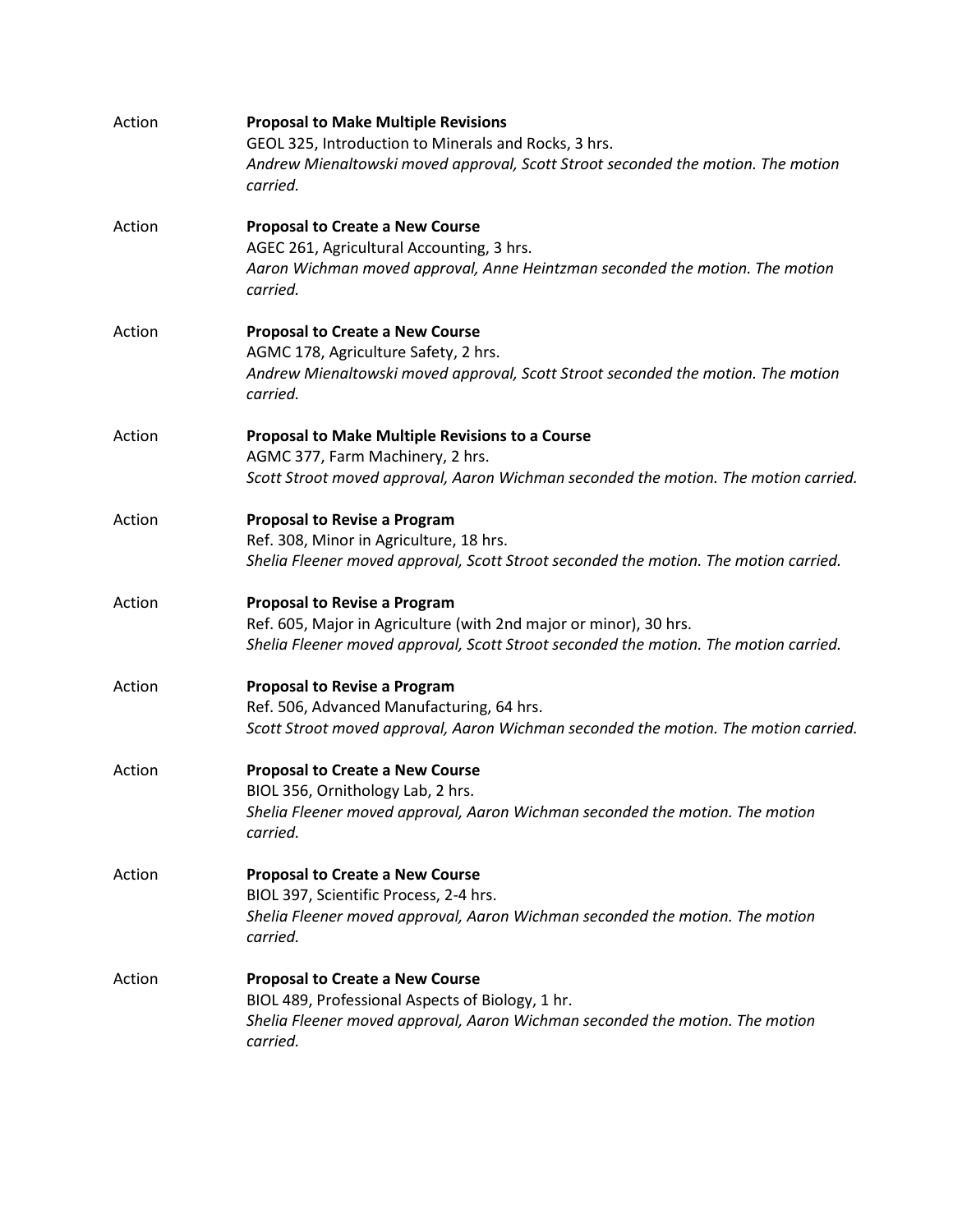| Action | <b>Proposal to Make Multiple Revisions</b><br>GEOL 325, Introduction to Minerals and Rocks, 3 hrs.<br>Andrew Mienaltowski moved approval, Scott Stroot seconded the motion. The motion<br>carried. |
|--------|----------------------------------------------------------------------------------------------------------------------------------------------------------------------------------------------------|
| Action | <b>Proposal to Create a New Course</b><br>AGEC 261, Agricultural Accounting, 3 hrs.<br>Aaron Wichman moved approval, Anne Heintzman seconded the motion. The motion<br>carried.                    |
| Action | <b>Proposal to Create a New Course</b><br>AGMC 178, Agriculture Safety, 2 hrs.<br>Andrew Mienaltowski moved approval, Scott Stroot seconded the motion. The motion<br>carried.                     |
| Action | Proposal to Make Multiple Revisions to a Course<br>AGMC 377, Farm Machinery, 2 hrs.<br>Scott Stroot moved approval, Aaron Wichman seconded the motion. The motion carried.                         |
| Action | <b>Proposal to Revise a Program</b><br>Ref. 308, Minor in Agriculture, 18 hrs.<br>Shelia Fleener moved approval, Scott Stroot seconded the motion. The motion carried.                             |
| Action | <b>Proposal to Revise a Program</b><br>Ref. 605, Major in Agriculture (with 2nd major or minor), 30 hrs.<br>Shelia Fleener moved approval, Scott Stroot seconded the motion. The motion carried.   |
| Action | <b>Proposal to Revise a Program</b><br>Ref. 506, Advanced Manufacturing, 64 hrs.<br>Scott Stroot moved approval, Aaron Wichman seconded the motion. The motion carried.                            |
| Action | <b>Proposal to Create a New Course</b><br>BIOL 356, Ornithology Lab, 2 hrs.<br>Shelia Fleener moved approval, Aaron Wichman seconded the motion. The motion<br>carried.                            |
| Action | <b>Proposal to Create a New Course</b><br>BIOL 397, Scientific Process, 2-4 hrs.<br>Shelia Fleener moved approval, Aaron Wichman seconded the motion. The motion<br>carried.                       |
| Action | <b>Proposal to Create a New Course</b><br>BIOL 489, Professional Aspects of Biology, 1 hr.<br>Shelia Fleener moved approval, Aaron Wichman seconded the motion. The motion<br>carried.             |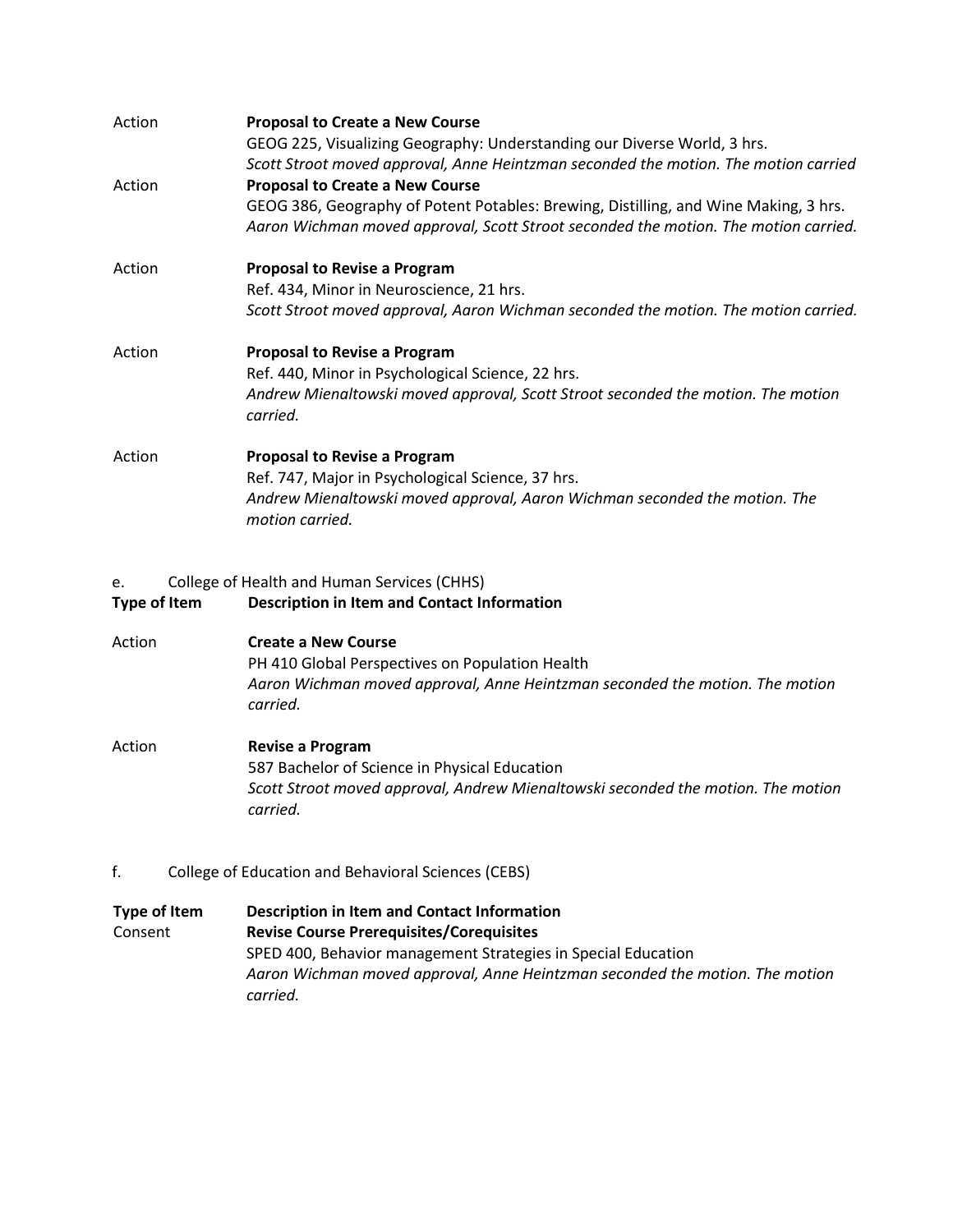| Action | <b>Proposal to Create a New Course</b><br>GEOG 225, Visualizing Geography: Understanding our Diverse World, 3 hrs.<br>Scott Stroot moved approval, Anne Heintzman seconded the motion. The motion carried |
|--------|-----------------------------------------------------------------------------------------------------------------------------------------------------------------------------------------------------------|
| Action | <b>Proposal to Create a New Course</b>                                                                                                                                                                    |
|        | GEOG 386, Geography of Potent Potables: Brewing, Distilling, and Wine Making, 3 hrs.                                                                                                                      |
|        | Aaron Wichman moved approval, Scott Stroot seconded the motion. The motion carried.                                                                                                                       |
| Action | <b>Proposal to Revise a Program</b>                                                                                                                                                                       |
|        | Ref. 434, Minor in Neuroscience, 21 hrs.                                                                                                                                                                  |
|        | Scott Stroot moved approval, Aaron Wichman seconded the motion. The motion carried.                                                                                                                       |
| Action | <b>Proposal to Revise a Program</b>                                                                                                                                                                       |
|        | Ref. 440, Minor in Psychological Science, 22 hrs.                                                                                                                                                         |
|        | Andrew Mienaltowski moved approval, Scott Stroot seconded the motion. The motion<br>carried.                                                                                                              |
| Action | <b>Proposal to Revise a Program</b>                                                                                                                                                                       |
|        | Ref. 747, Major in Psychological Science, 37 hrs.                                                                                                                                                         |
|        | Andrew Mienaltowski moved approval, Aaron Wichman seconded the motion. The<br>motion carried.                                                                                                             |

## e. College of Health and Human Services (CHHS)

## **Type of Item Description in Item and Contact Information**

- Action **Create a New Course** PH 410 Global Perspectives on Population Health *Aaron Wichman moved approval, Anne Heintzman seconded the motion. The motion carried.*
- Action **Revise a Program** 587 Bachelor of Science in Physical Education *Scott Stroot moved approval, Andrew Mienaltowski seconded the motion. The motion carried.*
- f. College of Education and Behavioral Sciences (CEBS)

| Type of Item | <b>Description in Item and Contact Information</b>                                                                                                        |
|--------------|-----------------------------------------------------------------------------------------------------------------------------------------------------------|
| Consent      | <b>Revise Course Prerequisites/Corequisites</b>                                                                                                           |
|              | SPED 400, Behavior management Strategies in Special Education<br>Aaron Wichman moved approval, Anne Heintzman seconded the motion. The motion<br>carried. |
|              |                                                                                                                                                           |